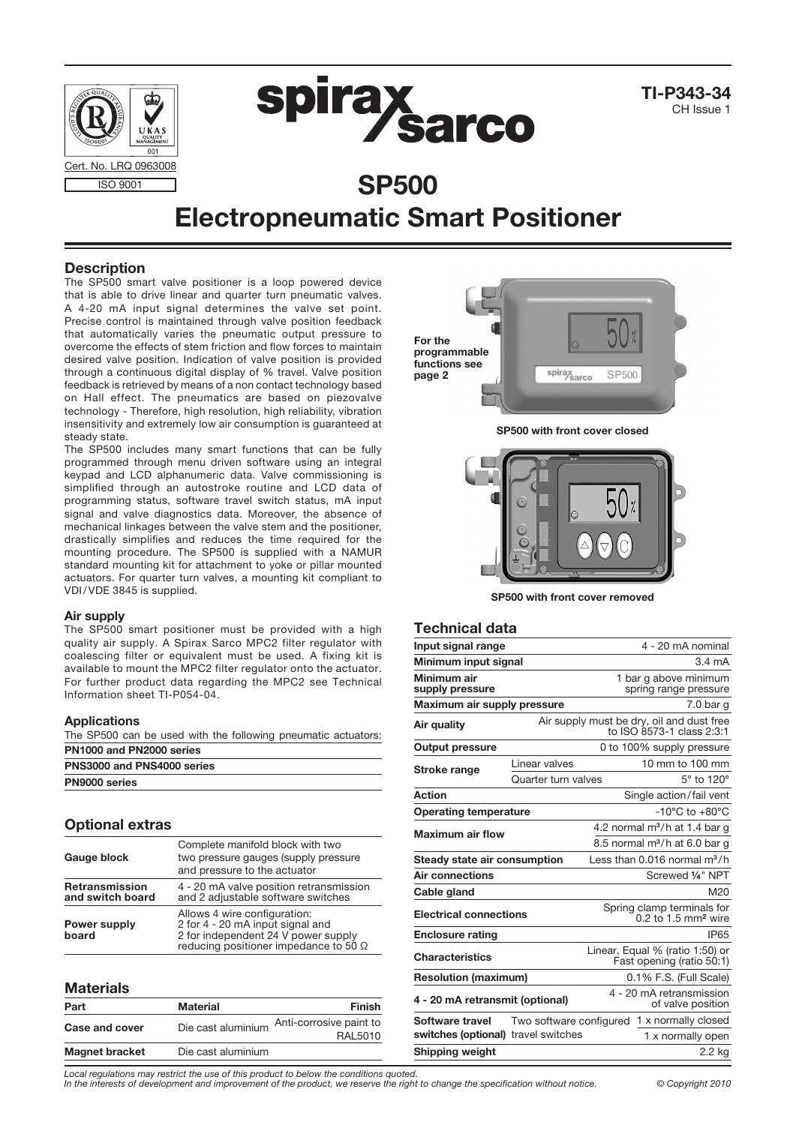

# Electropneumatic Smart Positioner

## **Description**

The SP500 smart valve positioner is a loop powered device that is able to drive linear and quarter turn pneumatic valves. A 4-20 mA input signal determines the valve set point. Precise control is maintained through valve position feedback that automatically varies the pneumatic output pressure to overcome the effects of stem friction and flow forces to maintain desired valve position. Indication of valve position is provided through a continuous digital display of % travel. Valve position feedback is retrieved by means of a non contact technology based on Hall effect. The pneumatics are based on piezovalve technology - Therefore, high resolution, high reliability, vibration insensitivity and extremely low air consumption is guaranteed at steady state.

The SP500 includes many smart functions that can be fully programmed through menu driven software using an integral keypad and LCD alphanumeric data. Valve commissioning is simplified through an autostroke routine and LCD data of programming status, software travel switch status, mA input signal and valve diagnostics data. Moreover, the absence of mechanical linkages between the valve stem and the positioner, drastically simplifies and reduces the time required for the mounting procedure. The SP500 is supplied with a NAMUR standard mounting kit for attachment to yoke or pillar mounted actuators. For quarter turn valves, a mounting kit compliant to VDI/VDE 3845 is supplied.

#### Air supply

The SP500 smart positioner must be provided with a high quality air supply. A Spirax Sarco MPC2 filter regulator with coalescing filter or equivalent must be used. A fixing kit is available to mount the MPC2 filter regulator onto the actuator. For further product data regarding the MPC2 see Technical Information sheet TI-P054-04.

#### Applications

The SP500 can be used with the following pneumatic actuators: PN1000 and PN2000 series

| PNS3000 and PNS4000 series |  |
|----------------------------|--|
| PN9000 series              |  |

### Optional extras

| Gauge block                        | Complete manifold block with two<br>two pressure gauges (supply pressure<br>and pressure to the actuator                                                |  |  |
|------------------------------------|---------------------------------------------------------------------------------------------------------------------------------------------------------|--|--|
| Retransmission<br>and switch board | 4 - 20 mA valve position retransmission<br>and 2 adjustable software switches                                                                           |  |  |
| Power supply<br>board              | Allows 4 wire configuration:<br>2 for 4 - 20 mA input signal and<br>2 for independent 24 V power supply<br>reducing positioner impedance to 50 $\Omega$ |  |  |

#### **Materials**

| Part                  | Material           | <b>Finish</b>                                                |
|-----------------------|--------------------|--------------------------------------------------------------|
| Case and cover        |                    | Die cast aluminium Anti-corrosive paint to<br><b>RAL5010</b> |
| <b>Magnet bracket</b> | Die cast aluminium |                                                              |

For the programmable functions see spirax<br>Sarco **SP500** page 2SP500 with front cover closed

SP500 with front cover removed

#### Technical data

| Input signal range                  |                                                                        |                                                                 | 4 - 20 mA nominal                                            |  |
|-------------------------------------|------------------------------------------------------------------------|-----------------------------------------------------------------|--------------------------------------------------------------|--|
| Minimum input signal                |                                                                        |                                                                 | $3.4 \text{ mA}$                                             |  |
| Minimum air<br>supply pressure      |                                                                        |                                                                 | 1 bar g above minimum<br>spring range pressure               |  |
| Maximum air supply pressure         |                                                                        |                                                                 | 7.0 <sub>bar</sub>                                           |  |
| Air quality                         | Air supply must be dry, oil and dust free<br>to ISO 8573-1 class 2:3:1 |                                                                 |                                                              |  |
| <b>Output pressure</b>              |                                                                        |                                                                 | 0 to 100% supply pressure                                    |  |
| Stroke range                        | Linear valves                                                          |                                                                 | 10 mm to 100 mm                                              |  |
|                                     | Quarter turn valves                                                    |                                                                 | 5° to 120°                                                   |  |
| Action                              |                                                                        |                                                                 | Single action/fail vent                                      |  |
| <b>Operating temperature</b>        |                                                                        |                                                                 | $-10^{\circ}$ C to $+80^{\circ}$ C                           |  |
| <b>Maximum air flow</b>             |                                                                        |                                                                 | 4.2 normal $m^3/h$ at 1.4 bar g                              |  |
|                                     |                                                                        |                                                                 | 8.5 normal m <sup>3</sup> /h at 6.0 bar g                    |  |
| Steady state air consumption        |                                                                        |                                                                 | Less than $0.016$ normal $m^3/h$                             |  |
| Air connections                     |                                                                        |                                                                 | Screwed 1/4" NPT                                             |  |
| Cable gland                         |                                                                        |                                                                 | M20                                                          |  |
| <b>Electrical connections</b>       |                                                                        | Spring clamp terminals for<br>$0.2$ to 1.5 mm <sup>2</sup> wire |                                                              |  |
| <b>Enclosure rating</b>             |                                                                        |                                                                 | <b>IP65</b>                                                  |  |
| <b>Characteristics</b>              |                                                                        |                                                                 | Linear, Equal % (ratio 1:50) or<br>Fast opening (ratio 50:1) |  |
| <b>Resolution (maximum)</b>         |                                                                        |                                                                 | 0.1% F.S. (Full Scale)                                       |  |
| 4 - 20 mA retransmit (optional)     |                                                                        |                                                                 | 4 - 20 mA retransmission<br>of valve position                |  |
| Software travel                     | Two software configured                                                |                                                                 | 1 x normally closed                                          |  |
| switches (optional) travel switches |                                                                        |                                                                 | 1 x normally open                                            |  |
| Shipping weight                     |                                                                        |                                                                 | 2.2 kg                                                       |  |
|                                     |                                                                        |                                                                 |                                                              |  |

*Local regulations may restrict the use of this product to below the conditions quoted.*

*In the interests of development and improvement of the product, we reserve the right to change the specification without notice. © Copyright 2010*

CH Issue 1